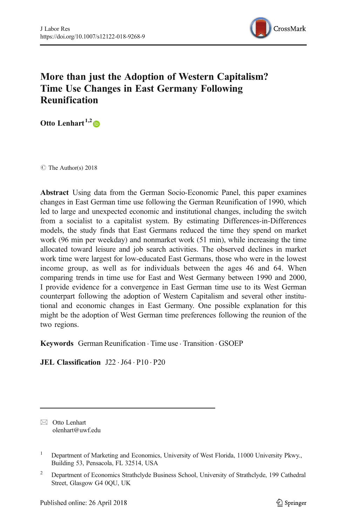

# More than just the Adoption of Western Capitalism? Time Use Changes in East Germany Following Reunification

Otto Lenhart<sup>1,2</sup>

 $\circ$  The Author(s) 2018

Abstract Using data from the German Socio-Economic Panel, this paper examines changes in East German time use following the German Reunification of 1990, which led to large and unexpected economic and institutional changes, including the switch from a socialist to a capitalist system. By estimating Differences-in-Differences models, the study finds that East Germans reduced the time they spend on market work (96 min per weekday) and nonmarket work (51 min), while increasing the time allocated toward leisure and job search activities. The observed declines in market work time were largest for low-educated East Germans, those who were in the lowest income group, as well as for individuals between the ages 46 and 64. When comparing trends in time use for East and West Germany between 1990 and 2000, I provide evidence for a convergence in East German time use to its West German counterpart following the adoption of Western Capitalism and several other institutional and economic changes in East Germany. One possible explanation for this might be the adoption of West German time preferences following the reunion of the two regions.

Keywords German Reunification . Time use . Transition . GSOEP

JEL Classification J22 .J64 . P10 . P20

 $\boxtimes$  Otto Lenhart [olenhart@uwf.edu](mailto:olenhart@uwf.edu)

<sup>&</sup>lt;sup>1</sup> Department of Marketing and Economics, University of West Florida, 11000 University Pkwy., Building 53, Pensacola, FL 32514, USA

<sup>&</sup>lt;sup>2</sup> Department of Economics Strathclyde Business School, University of Strathclyde, 199 Cathedral Street, Glasgow G4 0QU, UK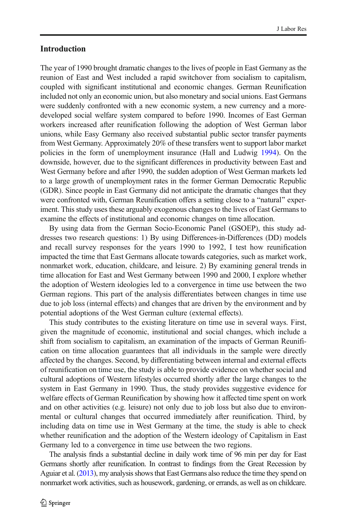# Introduction

The year of 1990 brought dramatic changes to the lives of people in East Germany as the reunion of East and West included a rapid switchover from socialism to capitalism, coupled with significant institutional and economic changes. German Reunification included not only an economic union, but also monetary and social unions. East Germans were suddenly confronted with a new economic system, a new currency and a moredeveloped social welfare system compared to before 1990. Incomes of East German workers increased after reunification following the adoption of West German labor unions, while Easy Germany also received substantial public sector transfer payments from West Germany. Approximately 20% of these transfers went to support labor market policies in the form of unemployment insurance (Hall and Ludwig [1994](#page-22-0)). On the downside, however, due to the significant differences in productivity between East and West Germany before and after 1990, the sudden adoption of West German markets led to a large growth of unemployment rates in the former German Democratic Republic (GDR). Since people in East Germany did not anticipate the dramatic changes that they were confronted with, German Reunification offers a setting close to a "natural" experiment. This study uses these arguably exogenous changes to the lives of East Germans to examine the effects of institutional and economic changes on time allocation.

By using data from the German Socio-Economic Panel (GSOEP), this study addresses two research questions: 1) By using Differences-in-Differences (DD) models and recall survey responses for the years 1990 to 1992, I test how reunification impacted the time that East Germans allocate towards categories, such as market work, nonmarket work, education, childcare, and leisure. 2) By examining general trends in time allocation for East and West Germany between 1990 and 2000, I explore whether the adoption of Western ideologies led to a convergence in time use between the two German regions. This part of the analysis differentiates between changes in time use due to job loss (internal effects) and changes that are driven by the environment and by potential adoptions of the West German culture (external effects).

This study contributes to the existing literature on time use in several ways. First, given the magnitude of economic, institutional and social changes, which include a shift from socialism to capitalism, an examination of the impacts of German Reunification on time allocation guarantees that all individuals in the sample were directly affected by the changes. Second, by differentiating between internal and external effects of reunification on time use, the study is able to provide evidence on whether social and cultural adoptions of Western lifestyles occurred shortly after the large changes to the system in East Germany in 1990. Thus, the study provides suggestive evidence for welfare effects of German Reunification by showing how it affected time spent on work and on other activities (e.g. leisure) not only due to job loss but also due to environmental or cultural changes that occurred immediately after reunification. Third, by including data on time use in West Germany at the time, the study is able to check whether reunification and the adoption of the Western ideology of Capitalism in East Germany led to a convergence in time use between the two regions.

The analysis finds a substantial decline in daily work time of 96 min per day for East Germans shortly after reunification. In contrast to findings from the Great Recession by Aguiar et al. [\(2013\)](#page-21-0), my analysis shows that East Germans also reduce the time they spend on nonmarket work activities, such as housework, gardening, or errands, as well as on childcare.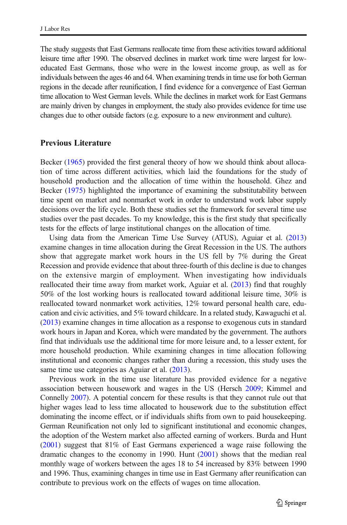The study suggests that East Germans reallocate time from these activities toward additional leisure time after 1990. The observed declines in market work time were largest for loweducated East Germans, those who were in the lowest income group, as well as for individuals between the ages 46 and 64. When examining trends in time use for both German regions in the decade after reunification, I find evidence for a convergence of East German time allocation to West German levels. While the declines in market work for East Germans are mainly driven by changes in employment, the study also provides evidence for time use changes due to other outside factors (e.g. exposure to a new environment and culture).

## Previous Literature

Becker ([1965](#page-21-0)) provided the first general theory of how we should think about allocation of time across different activities, which laid the foundations for the study of household production and the allocation of time within the household. Ghez and Becker [\(1975\)](#page-22-0) highlighted the importance of examining the substitutability between time spent on market and nonmarket work in order to understand work labor supply decisions over the life cycle. Both these studies set the framework for several time use studies over the past decades. To my knowledge, this is the first study that specifically tests for the effects of large institutional changes on the allocation of time.

Using data from the American Time Use Survey (ATUS), Aguiar et al. ([2013](#page-21-0)) examine changes in time allocation during the Great Recession in the US. The authors show that aggregate market work hours in the US fell by 7% during the Great Recession and provide evidence that about three-fourth of this decline is due to changes on the extensive margin of employment. When investigating how individuals reallocated their time away from market work, Aguiar et al. [\(2013](#page-21-0)) find that roughly 50% of the lost working hours is reallocated toward additional leisure time, 30% is reallocated toward nonmarket work activities, 12% toward personal health care, education and civic activities, and 5% toward childcare. In a related study, Kawaguchi et al. [\(2013\)](#page-22-0) examine changes in time allocation as a response to exogenous cuts in standard work hours in Japan and Korea, which were mandated by the government. The authors find that individuals use the additional time for more leisure and, to a lesser extent, for more household production. While examining changes in time allocation following institutional and economic changes rather than during a recession, this study uses the same time use categories as Aguiar et al.  $(2013)$  $(2013)$  $(2013)$ .

Previous work in the time use literature has provided evidence for a negative association between housework and wages in the US (Hersch [2009;](#page-22-0) Kimmel and Connelly [2007](#page-22-0)). A potential concern for these results is that they cannot rule out that higher wages lead to less time allocated to housework due to the substitution effect dominating the income effect, or if individuals shifts from own to paid housekeeping. German Reunification not only led to significant institutional and economic changes, the adoption of the Western market also affected earning of workers. Burda and Hunt [\(2001\)](#page-21-0) suggest that 81% of East Germans experienced a wage raise following the dramatic changes to the economy in 1990. Hunt [\(2001\)](#page-22-0) shows that the median real monthly wage of workers between the ages 18 to 54 increased by 83% between 1990 and 1996. Thus, examining changes in time use in East Germany after reunification can contribute to previous work on the effects of wages on time allocation.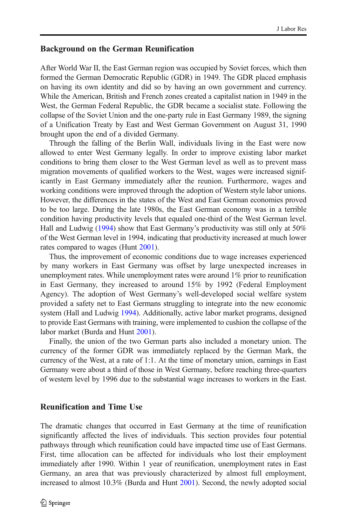# Background on the German Reunification

After World War II, the East German region was occupied by Soviet forces, which then formed the German Democratic Republic (GDR) in 1949. The GDR placed emphasis on having its own identity and did so by having an own government and currency. While the American, British and French zones created a capitalist nation in 1949 in the West, the German Federal Republic, the GDR became a socialist state. Following the collapse of the Soviet Union and the one-party rule in East Germany 1989, the signing of a Unification Treaty by East and West German Government on August 31, 1990 brought upon the end of a divided Germany.

Through the falling of the Berlin Wall, individuals living in the East were now allowed to enter West Germany legally. In order to improve existing labor market conditions to bring them closer to the West German level as well as to prevent mass migration movements of qualified workers to the West, wages were increased significantly in East Germany immediately after the reunion. Furthermore, wages and working conditions were improved through the adoption of Western style labor unions. However, the differences in the states of the West and East German economies proved to be too large. During the late 1980s, the East German economy was in a terrible condition having productivity levels that equaled one-third of the West German level. Hall and Ludwig ([1994](#page-22-0)) show that East Germany's productivity was still only at 50% of the West German level in 1994, indicating that productivity increased at much lower rates compared to wages (Hunt [2001](#page-22-0)).

Thus, the improvement of economic conditions due to wage increases experienced by many workers in East Germany was offset by large unexpected increases in unemployment rates. While unemployment rates were around 1% prior to reunification in East Germany, they increased to around 15% by 1992 (Federal Employment Agency). The adoption of West Germany's well-developed social welfare system provided a safety net to East Germans struggling to integrate into the new economic system (Hall and Ludwig [1994\)](#page-22-0). Additionally, active labor market programs, designed to provide East Germans with training, were implemented to cushion the collapse of the labor market (Burda and Hunt [2001](#page-21-0)).

Finally, the union of the two German parts also included a monetary union. The currency of the former GDR was immediately replaced by the German Mark, the currency of the West, at a rate of 1:1. At the time of monetary union, earnings in East Germany were about a third of those in West Germany, before reaching three-quarters of western level by 1996 due to the substantial wage increases to workers in the East.

# Reunification and Time Use

The dramatic changes that occurred in East Germany at the time of reunification significantly affected the lives of individuals. This section provides four potential pathways through which reunification could have impacted time use of East Germans. First, time allocation can be affected for individuals who lost their employment immediately after 1990. Within 1 year of reunification, unemployment rates in East Germany, an area that was previously characterized by almost full employment, increased to almost 10.3% (Burda and Hunt [2001\)](#page-21-0). Second, the newly adopted social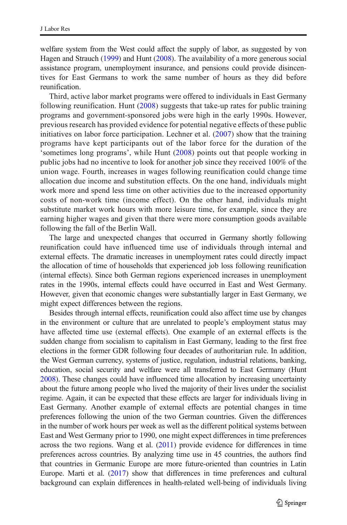welfare system from the West could affect the supply of labor, as suggested by von Hagen and Strauch ([1999](#page-22-0)) and Hunt ([2008](#page-22-0)). The availability of a more generous social assistance program, unemployment insurance, and pensions could provide disincentives for East Germans to work the same number of hours as they did before reunification.

Third, active labor market programs were offered to individuals in East Germany following reunification. Hunt ([2008](#page-22-0)) suggests that take-up rates for public training programs and government-sponsored jobs were high in the early 1990s. However, previous research has provided evidence for potential negative effects of these public initiatives on labor force participation. Lechner et al. ([2007](#page-22-0)) show that the training programs have kept participants out of the labor force for the duration of the 'sometimes long programs', while Hunt ([2008\)](#page-22-0) points out that people working in public jobs had no incentive to look for another job since they received 100% of the union wage. Fourth, increases in wages following reunification could change time allocation due income and substitution effects. On the one hand, individuals might work more and spend less time on other activities due to the increased opportunity costs of non-work time (income effect). On the other hand, individuals might substitute market work hours with more leisure time, for example, since they are earning higher wages and given that there were more consumption goods available following the fall of the Berlin Wall.

The large and unexpected changes that occurred in Germany shortly following reunification could have influenced time use of individuals through internal and external effects. The dramatic increases in unemployment rates could directly impact the allocation of time of households that experienced job loss following reunification (internal effects). Since both German regions experienced increases in unemployment rates in the 1990s, internal effects could have occurred in East and West Germany. However, given that economic changes were substantially larger in East Germany, we might expect differences between the regions.

Besides through internal effects, reunification could also affect time use by changes in the environment or culture that are unrelated to people's employment status may have affected time use (external effects). One example of an external effects is the sudden change from socialism to capitalism in East Germany, leading to the first free elections in the former GDR following four decades of authoritarian rule. In addition, the West German currency, systems of justice, regulation, industrial relations, banking, education, social security and welfare were all transferred to East Germany (Hunt [2008\)](#page-22-0). These changes could have influenced time allocation by increasing uncertainty about the future among people who lived the majority of their lives under the socialist regime. Again, it can be expected that these effects are larger for individuals living in East Germany. Another example of external effects are potential changes in time preferences following the union of the two German countries. Given the differences in the number of work hours per week as well as the different political systems between East and West Germany prior to 1990, one might expect differences in time preferences across the two regions. Wang et al. ([2011](#page-22-0)) provide evidence for differences in time preferences across countries. By analyzing time use in 45 countries, the authors find that countries in Germanic Europe are more future-oriented than countries in Latin Europe. Marti et al. [\(2017\)](#page-22-0) show that differences in time preferences and cultural background can explain differences in health-related well-being of individuals living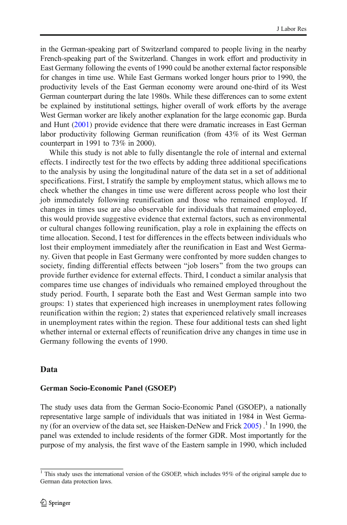in the German-speaking part of Switzerland compared to people living in the nearby French-speaking part of the Switzerland. Changes in work effort and productivity in East Germany following the events of 1990 could be another external factor responsible for changes in time use. While East Germans worked longer hours prior to 1990, the productivity levels of the East German economy were around one-third of its West German counterpart during the late 1980s. While these differences can to some extent be explained by institutional settings, higher overall of work efforts by the average West German worker are likely another explanation for the large economic gap. Burda and Hunt [\(2001](#page-21-0)) provide evidence that there were dramatic increases in East German labor productivity following German reunification (from 43% of its West German counterpart in 1991 to 73% in 2000).

While this study is not able to fully disentangle the role of internal and external effects. I indirectly test for the two effects by adding three additional specifications to the analysis by using the longitudinal nature of the data set in a set of additional specifications. First, I stratify the sample by employment status, which allows me to check whether the changes in time use were different across people who lost their job immediately following reunification and those who remained employed. If changes in times use are also observable for individuals that remained employed, this would provide suggestive evidence that external factors, such as environmental or cultural changes following reunification, play a role in explaining the effects on time allocation. Second, I test for differences in the effects between individuals who lost their employment immediately after the reunification in East and West Germany. Given that people in East Germany were confronted by more sudden changes to society, finding differential effects between "job losers" from the two groups can provide further evidence for external effects. Third, I conduct a similar analysis that compares time use changes of individuals who remained employed throughout the study period. Fourth, I separate both the East and West German sample into two groups: 1) states that experienced high increases in unemployment rates following reunification within the region; 2) states that experienced relatively small increases in unemployment rates within the region. These four additional tests can shed light whether internal or external effects of reunification drive any changes in time use in Germany following the events of 1990.

# Data

#### German Socio-Economic Panel (GSOEP)

The study uses data from the German Socio-Economic Panel (GSOEP), a nationally representative large sample of individuals that was initiated in 1984 in West Germa-ny (for an overview of the data set, see Haisken-DeNew and Frick [2005\)](#page-22-0).<sup>1</sup> In 1990, the panel was extended to include residents of the former GDR. Most importantly for the purpose of my analysis, the first wave of the Eastern sample in 1990, which included

 $1$  This study uses the international version of the GSOEP, which includes 95% of the original sample due to German data protection laws.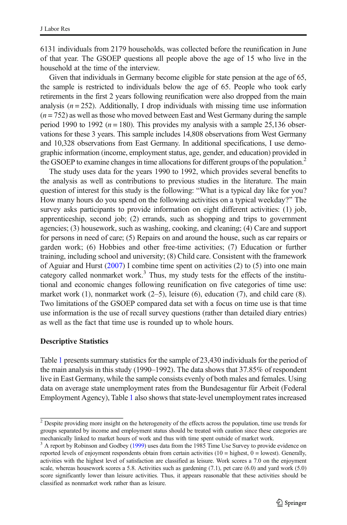6131 individuals from 2179 households, was collected before the reunification in June of that year. The GSOEP questions all people above the age of 15 who live in the household at the time of the interview.

Given that individuals in Germany become eligible for state pension at the age of 65, the sample is restricted to individuals below the age of 65. People who took early retirements in the first 2 years following reunification were also dropped from the main analysis ( $n = 252$ ). Additionally, I drop individuals with missing time use information  $(n = 752)$  as well as those who moved between East and West Germany during the sample period 1990 to 1992 ( $n = 180$ ). This provides my analysis with a sample 25,136 observations for these 3 years. This sample includes 14,808 observations from West Germany and 10,328 observations from East Germany. In additional specifications, I use demographic information (income, employment status, age, gender, and education) provided in the GSOEP to examine changes in time allocations for different groups of the population.<sup>2</sup>

The study uses data for the years 1990 to 1992, which provides several benefits to the analysis as well as contributions to previous studies in the literature. The main question of interest for this study is the following: "What is a typical day like for you? How many hours do you spend on the following activities on a typical weekday?^ The survey asks participants to provide information on eight different activities: (1) job, apprenticeship, second job; (2) errands, such as shopping and trips to government agencies; (3) housework, such as washing, cooking, and cleaning; (4) Care and support for persons in need of care; (5) Repairs on and around the house, such as car repairs or garden work; (6) Hobbies and other free-time activities; (7) Education or further training, including school and university; (8) Child care. Consistent with the framework of Aguiar and Hurst  $(2007)$  $(2007)$  $(2007)$  I combine time spent on activities  $(2)$  to  $(5)$  into one main category called nonmarket work.<sup>3</sup> Thus, my study tests for the effects of the institutional and economic changes following reunification on five categories of time use: market work (1), nonmarket work (2–5), leisure (6), education (7), and child care (8). Two limitations of the GSOEP compared data set with a focus on time use is that time use information is the use of recall survey questions (rather than detailed diary entries) as well as the fact that time use is rounded up to whole hours.

#### Descriptive Statistics

Table [1](#page-7-0) presents summary statistics for the sample of 23,430 individuals for the period of the main analysis in this study (1990–1992). The data shows that 37.85% of respondent live in East Germany, while the sample consists evenly of both males and females. Using data on average state unemployment rates from the Bundesagentur für Arbeit (Federal Employment Agency), Table [1](#page-7-0) also shows that state-level unemployment rates increased

 $2$  Despite providing more insight on the heterogeneity of the effects across the population, time use trends for groups separated by income and employment status should be treated with caution since these categories are mechanically linked to market hours of work and thus with time spent outside of market work.

<sup>&</sup>lt;sup>3</sup> A report by Robinson and Godbey [\(1999\)](#page-22-0) uses data from the 1985 Time Use Survey to provide evidence on reported levels of enjoyment respondents obtain from certain activities  $(10 =$  highest,  $0 =$  lowest). Generally, activities with the highest level of satisfaction are classified as leisure. Work scores a 7.0 on the enjoyment scale, whereas housework scores a 5.8. Activities such as gardening (7.1), pet care (6.0) and yard work (5.0) score significantly lower than leisure activities. Thus, it appears reasonable that these activities should be classified as nonmarket work rather than as leisure.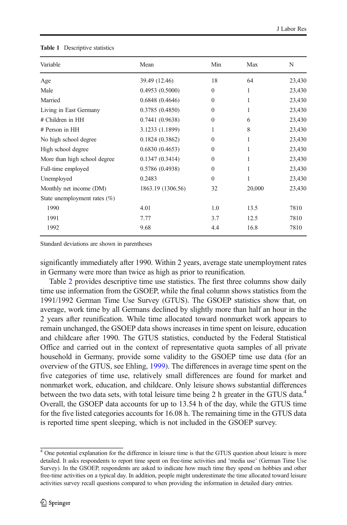| Variable                     | Mean              | Min          | Max    | N      |
|------------------------------|-------------------|--------------|--------|--------|
| Age                          | 39.49 (12.46)     | 18           | 64     | 23,430 |
| Male                         | 0.4953(0.5000)    | $\Omega$     | 1      | 23,430 |
| Married                      | 0.6848(0.4646)    | $\Omega$     | 1      | 23,430 |
| Living in East Germany       | 0.3785(0.4850)    | $\Omega$     |        | 23,430 |
| # Children in HH             | 0.7441(0.9638)    | $\Omega$     | 6      | 23,430 |
| # Person in HH               | 3.1233 (1.1899)   | 1            | 8      | 23,430 |
| No high school degree        | 0.1824(0.3862)    | $\Omega$     | 1      | 23,430 |
| High school degree           | 0.6830(0.4653)    | $\Omega$     | 1      | 23,430 |
| More than high school degree | 0.1347(0.3414)    | $\mathbf{0}$ | 1      | 23,430 |
| Full-time employed           | 0.5786(0.4938)    | $\mathbf{0}$ | 1      | 23,430 |
| Unemployed                   | 0.2483            | $\theta$     | 1      | 23,430 |
| Monthly net income (DM)      | 1863.19 (1306.56) | 32           | 20,000 | 23,430 |
| State unemployment rates (%) |                   |              |        |        |
| 1990                         | 4.01              | 1.0          | 13.5   | 7810   |
| 1991                         | 7.77              | 3.7          | 12.5   | 7810   |
| 1992                         | 9.68              | 4.4          | 16.8   | 7810   |

#### <span id="page-7-0"></span>Table 1 Descriptive statistics

Standard deviations are shown in parentheses

significantly immediately after 1990. Within 2 years, average state unemployment rates in Germany were more than twice as high as prior to reunification.

Table [2](#page-8-0) provides descriptive time use statistics. The first three columns show daily time use information from the GSOEP, while the final column shows statistics from the 1991/1992 German Time Use Survey (GTUS). The GSOEP statistics show that, on average, work time by all Germans declined by slightly more than half an hour in the 2 years after reunification. While time allocated toward nonmarket work appears to remain unchanged, the GSOEP data shows increases in time spent on leisure, education and childcare after 1990. The GTUS statistics, conducted by the Federal Statistical Office and carried out in the context of representative quota samples of all private household in Germany, provide some validity to the GSOEP time use data (for an overview of the GTUS, see Ehling, [1999](#page-22-0)). The differences in average time spent on the five categories of time use, relatively small differences are found for market and nonmarket work, education, and childcare. Only leisure shows substantial differences between the two data sets, with total leisure time being 2 h greater in the GTUS data.<sup>4</sup> Overall, the GSOEP data accounts for up to 13.54 h of the day, while the GTUS time for the five listed categories accounts for 16.08 h. The remaining time in the GTUS data is reported time spent sleeping, which is not included in the GSOEP survey.

<sup>&</sup>lt;sup>4</sup> One potential explanation for the difference in leisure time is that the GTUS question about leisure is more detailed. It asks respondents to report time spent on free-time activities and 'media use' (German Time Use Survey). In the GSOEP, respondents are asked to indicate how much time they spend on hobbies and other free-time activities on a typical day. In addition, people might underestimate the time allocated toward leisure activities survey recall questions compared to when providing the information in detailed diary entries.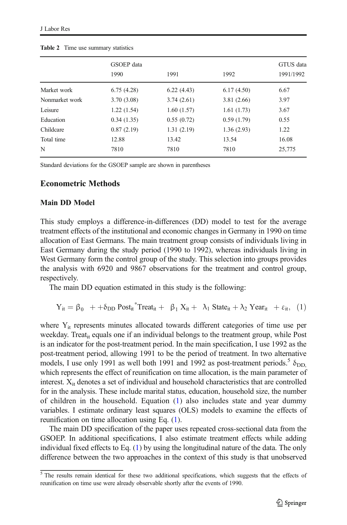|                | GSOEP data |            |            |           |
|----------------|------------|------------|------------|-----------|
|                | 1990       | 1991       | 1992       | 1991/1992 |
| Market work    | 6.75(4.28) | 6.22(4.43) | 6.17(4.50) | 6.67      |
| Nonmarket work | 3.70(3.08) | 3.74(2.61) | 3.81(2.66) | 3.97      |
| Leisure        | 1.22(1.54) | 1.60(1.57) | 1.61(1.73) | 3.67      |
| Education      | 0.34(1.35) | 0.55(0.72) | 0.59(1.79) | 0.55      |
| Childcare      | 0.87(2.19) | 1.31(2.19) | 1.36(2.93) | 1.22      |
| Total time     | 12.88      | 13.42      | 13.54      | 16.08     |
| N              | 7810       | 7810       | 7810       | 25,775    |

<span id="page-8-0"></span>Table 2 Time use summary statistics

Standard deviations for the GSOEP sample are shown in parentheses

## Econometric Methods

#### Main DD Model

This study employs a difference-in-differences (DD) model to test for the average treatment effects of the institutional and economic changes in Germany in 1990 on time allocation of East Germans. The main treatment group consists of individuals living in East Germany during the study period (1990 to 1992), whereas individuals living in West Germany form the control group of the study. This selection into groups provides the analysis with 6920 and 9867 observations for the treatment and control group, respectively.

The main DD equation estimated in this study is the following:

$$
Y_{it} = \beta_0 + +\delta_{DD} \text{Post}_{it}^* \text{Treat}_{it} + \beta_1 X_{it} + \lambda_1 \text{State}_{it} + \lambda_2 \text{Year}_{it} + \epsilon_{it}, \quad (1)
$$

where  $Y_{it}$  represents minutes allocated towards different categories of time use per weekday. Treat<sub>it</sub> equals one if an individual belongs to the treatment group, while Post is an indicator for the post-treatment period. In the main specification, I use 1992 as the post-treatment period, allowing 1991 to be the period of treatment. In two alternative models, I use only 1991 as well both 1991 and 1992 as post-treatment periods.<sup>5</sup>  $\delta_{DD}$ which represents the effect of reunification on time allocation, is the main parameter of interest.  $X_{it}$  denotes a set of individual and household characteristics that are controlled for in the analysis. These include marital status, education, household size, the number of children in the household. Equation (1) also includes state and year dummy variables. I estimate ordinary least squares (OLS) models to examine the effects of reunification on time allocation using Eq. (1).

The main DD specification of the paper uses repeated cross-sectional data from the GSOEP. In additional specifications, I also estimate treatment effects while adding individual fixed effects to Eq. (1) by using the longitudinal nature of the data. The only difference between the two approaches in the context of this study is that unobserved

<sup>&</sup>lt;sup>5</sup> The results remain identical for these two additional specifications, which suggests that the effects of reunification on time use were already observable shortly after the events of 1990.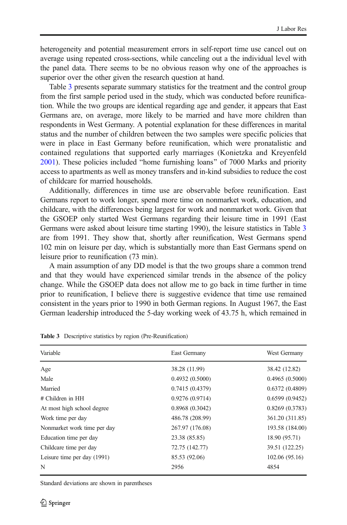heterogeneity and potential measurement errors in self-report time use cancel out on average using repeated cross-sections, while canceling out a the individual level with the panel data. There seems to be no obvious reason why one of the approaches is superior over the other given the research question at hand.

Table 3 presents separate summary statistics for the treatment and the control group from the first sample period used in the study, which was conducted before reunification. While the two groups are identical regarding age and gender, it appears that East Germans are, on average, more likely to be married and have more children than respondents in West Germany. A potential explanation for these differences in marital status and the number of children between the two samples were specific policies that were in place in East Germany before reunification, which were pronatalistic and contained regulations that supported early marriages (Konietzka and Kreyenfeld  $2001$ ). These policies included "home furnishing loans" of 7000 Marks and priority access to apartments as well as money transfers and in-kind subsidies to reduce the cost of childcare for married households.

Additionally, differences in time use are observable before reunification. East Germans report to work longer, spend more time on nonmarket work, education, and childcare, with the differences being largest for work and nonmarket work. Given that the GSOEP only started West Germans regarding their leisure time in 1991 (East Germans were asked about leisure time starting 1990), the leisure statistics in Table 3 are from 1991. They show that, shortly after reunification, West Germans spend 102 min on leisure per day, which is substantially more than East Germans spend on leisure prior to reunification (73 min).

A main assumption of any DD model is that the two groups share a common trend and that they would have experienced similar trends in the absence of the policy change. While the GSOEP data does not allow me to go back in time further in time prior to reunification, I believe there is suggestive evidence that time use remained consistent in the years prior to 1990 in both German regions. In August 1967, the East German leadership introduced the 5-day working week of 43.75 h, which remained in

| Variable                    | East Germany    | West Germany    |
|-----------------------------|-----------------|-----------------|
| Age                         | 38.28 (11.99)   | 38.42 (12.82)   |
| Male                        | 0.4932(0.5000)  | 0.4965(0.5000)  |
| Married                     | 0.7415(0.4379)  | 0.6372(0.4809)  |
| # Children in HH            | 0.9276(0.9714)  | 0.6599(0.9452)  |
| At most high school degree  | 0.8968(0.3042)  | 0.8269(0.3783)  |
| Work time per day           | 486.78 (208.99) | 361.20 (311.85) |
| Nonmarket work time per day | 267.97 (176.08) | 193.58 (184.00) |
| Education time per day      | 23.38 (85.85)   | 18.90 (95.71)   |
| Childcare time per day      | 72.75 (142.77)  | 39.51 (122.25)  |
| Leisure time per day (1991) | 85.53 (92.06)   | 102.06 (95.16)  |
| N                           | 2956            | 4854            |

Table 3 Descriptive statistics by region (Pre-Reunification)

Standard deviations are shown in parentheses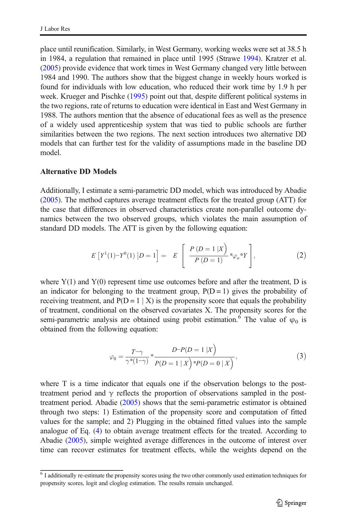place until reunification. Similarly, in West Germany, working weeks were set at 38.5 h in 1984, a regulation that remained in place until 1995 (Strawe [1994](#page-22-0)). Kratzer et al. [\(2005\)](#page-22-0) provide evidence that work times in West Germany changed very little between 1984 and 1990. The authors show that the biggest change in weekly hours worked is found for individuals with low education, who reduced their work time by 1.9 h per week. Krueger and Pischke [\(1995\)](#page-22-0) point out that, despite different political systems in the two regions, rate of returns to education were identical in East and West Germany in 1988. The authors mention that the absence of educational fees as well as the presence of a widely used apprenticeship system that was tied to public schools are further similarities between the two regions. The next section introduces two alternative DD models that can further test for the validity of assumptions made in the baseline DD model.

# Alternative DD Models

Additionally, I estimate a semi-parametric DD model, which was introduced by Abadie [\(2005\)](#page-21-0). The method captures average treatment effects for the treated group (ATT) for the case that differences in observed characteristics create non-parallel outcome dynamics between the two observed groups, which violates the main assumption of standard DD models. The ATT is given by the following equation:

$$
E\left[Y^{1}(1)-Y^{0}(1)\middle|D=1\right] = E\left[\frac{P\left(D=1\middle|X\right)}{P\left(D=1\right)} *_{\varphi_{0}} * Y\right],\tag{2}
$$

where  $Y(1)$  and  $Y(0)$  represent time use outcomes before and after the treatment, D is an indicator for belonging to the treatment group,  $P(D = 1)$  gives the probability of receiving treatment, and  $P(D = 1 | X)$  is the propensity score that equals the probability of treatment, conditional on the observed covariates X. The propensity scores for the semi-parametric analysis are obtained using probit estimation.<sup>6</sup> The value of  $\varphi_0$  is obtained from the following equation:

$$
\varphi_0 = \frac{T - \gamma}{\gamma^*(1 - \gamma)} * \frac{D - P(D = 1 | X)}{P(D = 1 | X) * P(D = 0 | X)},
$$
\n(3)

where T is a time indicator that equals one if the observation belongs to the posttreatment period and  $\gamma$  reflects the proportion of observations sampled in the posttreatment period. Abadie [\(2005\)](#page-21-0) shows that the semi-parametric estimator is obtained through two steps: 1) Estimation of the propensity score and computation of fitted values for the sample; and 2) Plugging in the obtained fitted values into the sample analogue of Eq. [\(4](#page-11-0)) to obtain average treatment effects for the treated. According to Abadie ([2005](#page-21-0)), simple weighted average differences in the outcome of interest over time can recover estimates for treatment effects, while the weights depend on the

<sup>6</sup> I additionally re-estimate the propensity scores using the two other commonly used estimation techniques for propensity scores, logit and cloglog estimation. The results remain unchanged.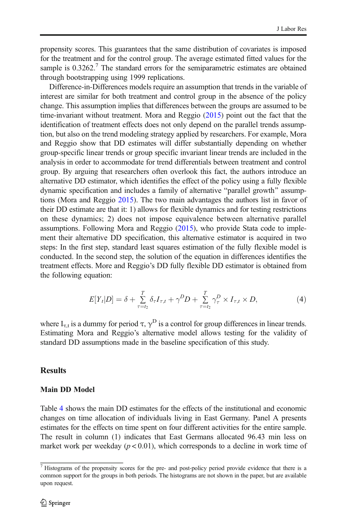<span id="page-11-0"></span>propensity scores. This guarantees that the same distribution of covariates is imposed for the treatment and for the control group. The average estimated fitted values for the sample is  $0.3262$ .<sup>7</sup> The standard errors for the semiparametric estimates are obtained through bootstrapping using 1999 replications.

Difference-in-Differences models require an assumption that trends in the variable of interest are similar for both treatment and control group in the absence of the policy change. This assumption implies that differences between the groups are assumed to be time-invariant without treatment. Mora and Reggio ([2015](#page-22-0)) point out the fact that the identification of treatment effects does not only depend on the parallel trends assumption, but also on the trend modeling strategy applied by researchers. For example, Mora and Reggio show that DD estimates will differ substantially depending on whether group-specific linear trends or group specific invariant linear trends are included in the analysis in order to accommodate for trend differentials between treatment and control group. By arguing that researchers often overlook this fact, the authors introduce an alternative DD estimator, which identifies the effect of the policy using a fully flexible dynamic specification and includes a family of alternative "parallel growth" assumptions (Mora and Reggio [2015](#page-22-0)). The two main advantages the authors list in favor of their DD estimate are that it: 1) allows for flexible dynamics and for testing restrictions on these dynamics; 2) does not impose equivalence between alternative parallel assumptions. Following Mora and Reggio [\(2015\)](#page-22-0), who provide Stata code to implement their alternative DD specification, this alternative estimator is acquired in two steps: In the first step, standard least squares estimation of the fully flexible model is conducted. In the second step, the solution of the equation in differences identifies the treatment effects. More and Reggio's DD fully flexible DD estimator is obtained from the following equation:

$$
E[Y_t|D] = \delta + \sum_{\tau=t_2}^T \delta_\tau I_{\tau,t} + \gamma^D D + \sum_{\tau=t_2}^T \gamma_\tau^D \times I_{\tau,t} \times D,\tag{4}
$$

where  $I_{\tau}$  is a dummy for period  $\tau$ ,  $\gamma^D$  is a control for group differences in linear trends. Estimating Mora and Reggio's alternative model allows testing for the validity of standard DD assumptions made in the baseline specification of this study.

## **Results**

#### Main DD Model

Table [4](#page-12-0) shows the main DD estimates for the effects of the institutional and economic changes on time allocation of individuals living in East Germany. Panel A presents estimates for the effects on time spent on four different activities for the entire sample. The result in column (1) indicates that East Germans allocated 96.43 min less on market work per weekday ( $p < 0.01$ ), which corresponds to a decline in work time of

 $7$  Histograms of the propensity scores for the pre- and post-policy period provide evidence that there is a common support for the groups in both periods. The histograms are not shown in the paper, but are available upon request.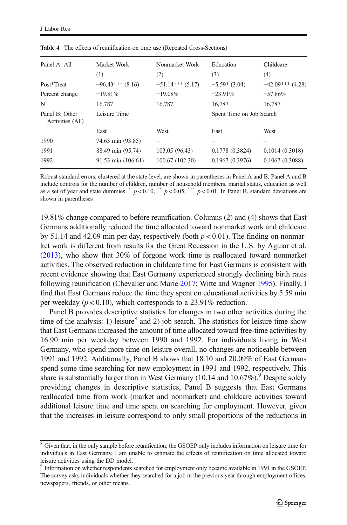| Panel A: All                       | Market Work<br>(1) | Nonmarket Work<br>(2) | Education<br>(3)         | Childcare<br>(4)   |
|------------------------------------|--------------------|-----------------------|--------------------------|--------------------|
| Post*Treat                         | $-96.43***$ (8.16) | $-51.14***$ (5.17)    | $-5.59*(3.04)$           | $-42.09***$ (4.28) |
| Percent change                     | $-19.81%$          | $-19.08%$             | $-23.91\%$               | $-57.86%$          |
| N                                  | 16.787             | 16.787                | 16.787                   | 16.787             |
| Panel B: Other<br>Activities (All) | Leisure Time       |                       | Spent Time on Job Search |                    |
|                                    | East               | West                  | East                     | West               |
| 1990                               | 74.63 min (93.85)  |                       |                          |                    |
| 1991                               | 88.49 min (95.74)  | 103.05 (96.43)        | 0.1778(0.3824)           | 0.1014(0.3018)     |
| 1992                               | 91.53 min (106.61) | 100.67 (102.30)       | 0.1967(0.3976)           | 0.1067(0.3088)     |

<span id="page-12-0"></span>Table 4 The effects of reunification on time use (Repeated Cross-Sections)

Robust standard errors, clustered at the state-level, are shown in parentheses in Panel A and B. Panel A and B include controls for the number of children, number of household members, marital status, education as well as a set of year and state dummies.  $p < 0.10$ ,  $p < 0.05$ ,  $p < 0.01$ . In Panel B, standard deviations are shown in parentheses

19.81% change compared to before reunification. Columns (2) and (4) shows that East Germans additionally reduced the time allocated toward nonmarket work and childcare by 51.14 and 42.09 min per day, respectively (both  $p < 0.01$ ). The finding on nonmarket work is different from results for the Great Recession in the U.S. by Aguiar et al. [\(2013\)](#page-21-0), who show that 30% of forgone work time is reallocated toward nonmarket activities. The observed reduction in childcare time for East Germans is consistent with recent evidence showing that East Germany experienced strongly declining birth rates following reunification (Chevalier and Marie [2017;](#page-21-0) Witte and Wagner [1995](#page-22-0)). Finally, I find that East Germans reduce the time they spent on educational activities by 5.59 min per weekday ( $p < 0.10$ ), which corresponds to a 23.91% reduction.

Panel B provides descriptive statistics for changes in two other activities during the time of the analysis: 1) leisure<sup>8</sup> and 2) job search. The statistics for leisure time show that East Germans increased the amount of time allocated toward free-time activities by 16.90 min per weekday between 1990 and 1992. For individuals living in West Germany, who spend more time on leisure overall, no changes are noticeable between 1991 and 1992. Additionally, Panel B shows that 18.10 and 20.09% of East Germans spend some time searching for new employment in 1991 and 1992, respectively. This share is substantially larger than in West Germany  $(10.14 \text{ and } 10.67\%)$ . Despite solely providing changes in descriptive statistics, Panel B suggests that East Germans reallocated time from work (market and nonmarket) and childcare activities toward additional leisure time and time spent on searching for employment. However, given that the increases in leisure correspond to only small proportions of the reductions in

<sup>&</sup>lt;sup>8</sup> Given that, in the only sample before reunification, the GSOEP only includes information on leisure time for individuals in East Germany, I am unable to estimate the effects of reunification on time allocated toward leisure activities using the DD model.

<sup>9</sup> Information on whether respondents searched for employment only became available in 1991 in the GSOEP. The survey asks individuals whether they searched for a job in the previous year through employment offices, newspapers, friends, or other means.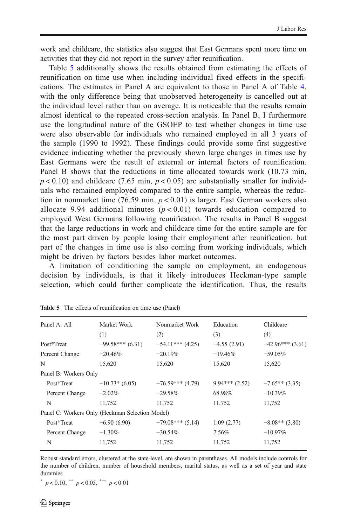work and childcare, the statistics also suggest that East Germans spent more time on activities that they did not report in the survey after reunification.

Table 5 additionally shows the results obtained from estimating the effects of reunification on time use when including individual fixed effects in the specifications. The estimates in Panel A are equivalent to those in Panel A of Table [4,](#page-12-0) with the only difference being that unobserved heterogeneity is cancelled out at the individual level rather than on average. It is noticeable that the results remain almost identical to the repeated cross-section analysis. In Panel B, I furthermore use the longitudinal nature of the GSOEP to test whether changes in time use were also observable for individuals who remained employed in all 3 years of the sample (1990 to 1992). These findings could provide some first suggestive evidence indicating whether the previously shown large changes in times use by East Germans were the result of external or internal factors of reunification. Panel B shows that the reductions in time allocated towards work (10.73 min,  $p < 0.10$ ) and childcare (7.65 min,  $p < 0.05$ ) are substantially smaller for individuals who remained employed compared to the entire sample, whereas the reduction in nonmarket time (76.59 min,  $p < 0.01$ ) is larger. East German workers also allocate 9.94 additional minutes ( $p < 0.01$ ) towards education compared to employed West Germans following reunification. The results in Panel B suggest that the large reductions in work and childcare time for the entire sample are for the most part driven by people losing their employment after reunification, but part of the changes in time use is also coming from working individuals, which might be driven by factors besides labor market outcomes.

A limitation of conditioning the sample on employment, an endogenous decision by individuals, is that it likely introduces Heckman-type sample selection, which could further complicate the identification. Thus, the results

| Panel A: All          | Market Work                                     | Nonmarket Work     | Education        | Childcare          |
|-----------------------|-------------------------------------------------|--------------------|------------------|--------------------|
|                       | (1)                                             | (2)                | (3)              | (4)                |
| Post*Treat            | $-99.58***$ (6.31)                              | $-54.11***$ (4.25) | $-4.55(2.91)$    | $-42.96***$ (3.61) |
| Percent Change        | $-20.46%$                                       | $-20.19%$          | $-19.46\%$       | $-59.05\%$         |
| N                     | 15.620                                          | 15,620             | 15,620           | 15,620             |
| Panel B: Workers Only |                                                 |                    |                  |                    |
| Post*Treat            | $-10.73*(6.05)$                                 | $-76.59***$ (4.79) | $9.94***$ (2.52) | $-7.65**$ (3.35)   |
| Percent Change        | $-2.02\%$                                       | $-29.58\%$         | 68.98%           | $-10.39\%$         |
| N                     | 11,752                                          | 11,752             | 11,752           | 11,752             |
|                       | Panel C: Workers Only (Heckman Selection Model) |                    |                  |                    |
| Post*Treat            | $-6.90(6.90)$                                   | $-79.08***$ (5.14) | 1.09(2.77)       | $-8.08**$ (3.80)   |
| Percent Change        | $-1.30\%$                                       | $-30.54\%$         | 7.56%            | $-10.97\%$         |
| N                     | 11.752                                          | 11.752             | 11.752           | 11.752             |
|                       |                                                 |                    |                  |                    |

Table 5 The effects of reunification on time use (Panel)

Robust standard errors, clustered at the state-level, are shown in parentheses. All models include controls for the number of children, number of household members, marital status, as well as a set of year and state dummies

 $p < 0.10$ , \*\*  $p < 0.05$ , \*\*\*  $p < 0.01$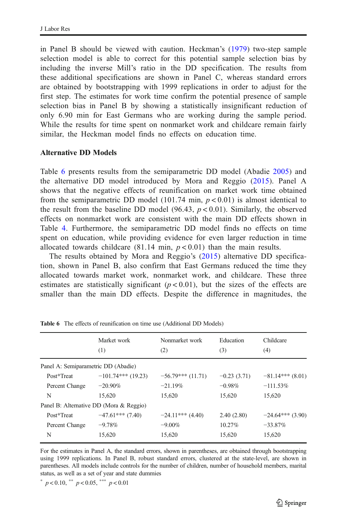in Panel B should be viewed with caution. Heckman's ([1979\)](#page-22-0) two-step sample selection model is able to correct for this potential sample selection bias by including the inverse Mill's ratio in the DD specification. The results from these additional specifications are shown in Panel C, whereas standard errors are obtained by bootstrapping with 1999 replications in order to adjust for the first step. The estimates for work time confirm the potential presence of sample selection bias in Panel B by showing a statistically insignificant reduction of only 6.90 min for East Germans who are working during the sample period. While the results for time spent on nonmarket work and childcare remain fairly similar, the Heckman model finds no effects on education time.

## Alternative DD Models

Table 6 presents results from the semiparametric DD model (Abadie [2005](#page-21-0)) and the alternative DD model introduced by Mora and Reggio ([2015](#page-22-0)). Panel A shows that the negative effects of reunification on market work time obtained from the semiparametric DD model (101.74 min,  $p < 0.01$ ) is almost identical to the result from the baseline DD model (96.43,  $p < 0.01$ ). Similarly, the observed effects on nonmarket work are consistent with the main DD effects shown in Table [4](#page-12-0). Furthermore, the semiparametric DD model finds no effects on time spent on education, while providing evidence for even larger reduction in time allocated towards childcare  $(81.14 \text{ min}, p < 0.01)$  than the main results.

The results obtained by Mora and Reggio's ([2015\)](#page-22-0) alternative DD specification, shown in Panel B, also confirm that East Germans reduced the time they allocated towards market work, nonmarket work, and childcare. These three estimates are statistically significant ( $p < 0.01$ ), but the sizes of the effects are smaller than the main DD effects. Despite the difference in magnitudes, the

|                                         | Market work<br>(1)   | Nonmarket work<br>(2) | Education<br>(3) | Childcare<br>(4)   |
|-----------------------------------------|----------------------|-----------------------|------------------|--------------------|
| Panel A: Semiparametric DD (Abadie)     |                      |                       |                  |                    |
| Post*Treat                              | $-101.74***$ (19.23) | $-56.79***(11.71)$    | $-0.23(3.71)$    | $-81.14***$ (8.01) |
| Percent Change                          | $-20.90\%$           | $-21.19%$             | $-0.98%$         | $-111.53\%$        |
| N                                       | 15.620               | 15.620                | 15.620           | 15.620             |
| Panel B: Alternative DD (Mora & Reggio) |                      |                       |                  |                    |
| Post*Treat                              | $-47.61***(7.40)$    | $-24.11***$ (4.40)    | 2.40(2.80)       | $-24.64***$ (3.90) |
| Percent Change                          | $-9.78%$             | $-9.00%$              | 10.27%           | $-33.87\%$         |
| N                                       | 15.620               | 15.620                | 15,620           | 15,620             |

Table 6 The effects of reunification on time use (Additional DD Models)

For the estimates in Panel A, the standard errors, shown in parentheses, are obtained through bootstrapping using 1999 replications. In Panel B, robust standard errors, clustered at the state-level, are shown in parentheses. All models include controls for the number of children, number of household members, marital status, as well as a set of year and state dummies

 $p < 0.10$ , \*\*  $p < 0.05$ , \*\*\*  $p < 0.01$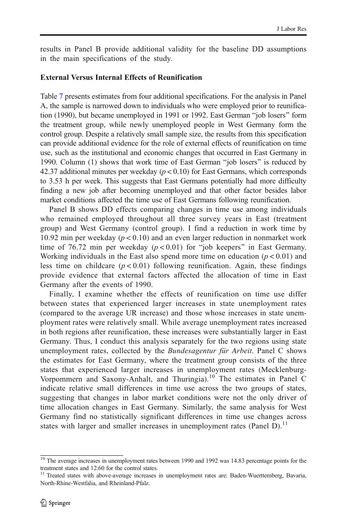results in Panel B provide additional validity for the baseline DD assumptions in the main specifications of the study.

# External Versus Internal Effects of Reunification

Table [7](#page-16-0) presents estimates from four additional specifications. For the analysis in Panel A, the sample is narrowed down to individuals who were employed prior to reunification (1990), but became unemployed in 1991 or 1992. East German "job losers" form the treatment group, while newly unemployed people in West Germany form the control group. Despite a relatively small sample size, the results from this specification can provide additional evidence for the role of external effects of reunification on time use, such as the institutional and economic changes that occurred in East Germany in 1990. Column  $(1)$  shows that work time of East German "job losers" is reduced by 42.37 additional minutes per weekday ( $p < 0.10$ ) for East Germans, which corresponds to 3.53 h per week. This suggests that East Germans potentially had more difficulty finding a new job after becoming unemployed and that other factor besides labor market conditions affected the time use of East Germans following reunification.

Panel B shows DD effects comparing changes in time use among individuals who remained employed throughout all three survey years in East (treatment group) and West Germany (control group). I find a reduction in work time by 10.92 min per weekday ( $p < 0.10$ ) and an even larger reduction in nonmarket work time of 76.72 min per weekday  $(p < 0.01)$  for "job keepers" in East Germany. Working individuals in the East also spend more time on education ( $p < 0.01$ ) and less time on childcare  $(p < 0.01)$  following reunification. Again, these findings provide evidence that external factors affected the allocation of time in East Germany after the events of 1990.

Finally, I examine whether the effects of reunification on time use differ between states that experienced larger increases in state unemployment rates (compared to the average UR increase) and those whose increases in state unemployment rates were relatively small. While average unemployment rates increased in both regions after reunification, these increases were substantially larger in East Germany. Thus, I conduct this analysis separately for the two regions using state unemployment rates, collected by the *Bundesagentur für Arbeit*. Panel C shows the estimates for East Germany, where the treatment group consists of the three states that experienced larger increases in unemployment rates (Mecklenburg-Vorpommern and Saxony-Anhalt, and Thuringia).<sup>10</sup> The estimates in Panel C indicate relative small differences in time use across the two groups of states, suggesting that changes in labor market conditions were not the only driver of time allocation changes in East Germany. Similarly, the same analysis for West Germany find no statistically significant differences in time use changes across states with larger and smaller increases in unemployment rates (Panel D). $<sup>11</sup>$ </sup>

<sup>&</sup>lt;sup>10</sup> The average increases in unemployment rates between 1990 and 1992 was 14.83 percentage points for the treatment states and 12.60 for the control states.

<sup>&</sup>lt;sup>11</sup> Treated states with above-average increases in unemployment rates are: Baden-Wuerttemberg, Bavaria, North-Rhine-Westfalia, and Rheinland-Pfalz.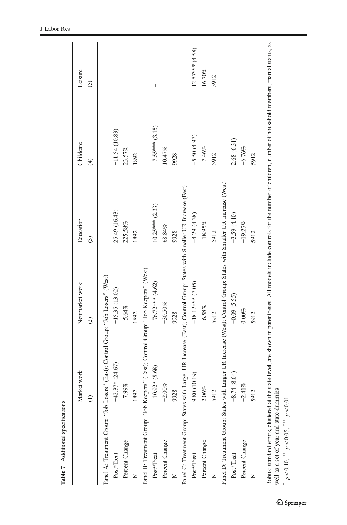<span id="page-16-0"></span>

|                                                                                        | Market work<br>$\widehat{\Xi}$                                                      | Nonnarket work<br>$\widehat{c}$                                                                                                                                                         | Education<br>$\widehat{c}$ | Childcare<br>$\widehat{\mathcal{F}}$ | Leisure<br>$\overline{5}$      |
|----------------------------------------------------------------------------------------|-------------------------------------------------------------------------------------|-----------------------------------------------------------------------------------------------------------------------------------------------------------------------------------------|----------------------------|--------------------------------------|--------------------------------|
|                                                                                        |                                                                                     |                                                                                                                                                                                         |                            |                                      |                                |
|                                                                                        | Panel A: Treatment Group: "Job Losens" (East); Control Group: "Job Losers" (West)   |                                                                                                                                                                                         |                            |                                      |                                |
| Post*Treat                                                                             | $-42.37*$ (24.67)                                                                   | $-15.35(13.02)$                                                                                                                                                                         | 25.49 (16.43)              | $-11.54(10.83)$                      | $\begin{array}{c} \end{array}$ |
| Percent Change                                                                         | $-7.99%$                                                                            | $-5.64%$                                                                                                                                                                                | 225.58%                    | 23.57%                               |                                |
| z                                                                                      | 1892                                                                                | 1892                                                                                                                                                                                    | 1892                       | 1892                                 |                                |
|                                                                                        | Panel B: Treatment Group: "Job Keepers" (East); Control Group: "Job Keepers" (West) |                                                                                                                                                                                         |                            |                                      |                                |
| Post*Treat                                                                             | $-10.92*(5.68)$                                                                     | $-76.72***$ (4.62)                                                                                                                                                                      | $10.25***$ (2.33)          | $-7.55***$ (3.15)                    |                                |
| Percent Change                                                                         | $-2.00\%$                                                                           | $-30.50%$                                                                                                                                                                               | 68.84%                     | 10.47%                               |                                |
| z                                                                                      | 9928                                                                                | 9928                                                                                                                                                                                    | 9928                       | 9928                                 |                                |
|                                                                                        |                                                                                     | Panel C: Treatment Group: States with Larger UR Increase (East); Control Group: States with Smaller UR Increase (East)                                                                  |                            |                                      |                                |
| Post*Treat                                                                             | 9.80 (10.19)                                                                        | $-18.12***$ (7.05)                                                                                                                                                                      | $-4.29(4.38)$              | $-5.50(4.97)$                        | $12.57***$ (4.58)              |
| Percent Change                                                                         | $2.06\%$                                                                            | $-6.58%$                                                                                                                                                                                | $-18.95%$                  | $-7.46\%$                            | 16.70%                         |
| z                                                                                      | 5912                                                                                | 5912                                                                                                                                                                                    | 5912                       | 5912                                 | 5912                           |
|                                                                                        |                                                                                     | Panel D: Treatment Group: States with Larger UR Increase (West); Control Group: States with Smaller UR Increase (West)                                                                  |                            |                                      |                                |
| Post*Treat                                                                             | $-8.74(8.64)$                                                                       | $-0.09(5.55)$                                                                                                                                                                           | $-3.59(4.10)$              | 2.68 (6.31)                          |                                |
| Percent Change                                                                         | $-2.41%$                                                                            | $0.00\%$                                                                                                                                                                                | $-19.27%$                  | $-6.76%$                             |                                |
| Z                                                                                      | 2<br>591                                                                            | 5912                                                                                                                                                                                    | 5912                       | 5912                                 |                                |
| well as a set of year and state dummies<br>$p < 0.10$ , ** $p < 0.05$ , *** $p < 0.01$ |                                                                                     | Robust standard errors, clustered at the state-level, are shown in parentheses. All models include controls for the number of children, number of household members, marital status, as |                            |                                      |                                |

 $\underline{\textcircled{\tiny 2}}$  Springer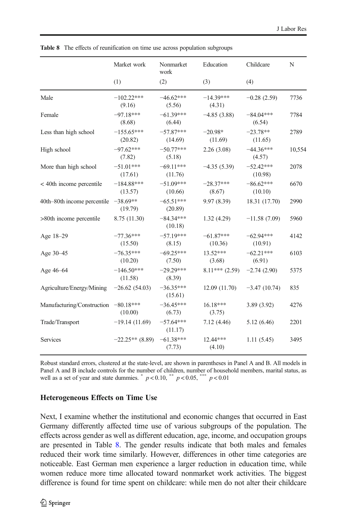|                                      | Market work             | Nonmarket<br>work      | Education              | Childcare              | N      |
|--------------------------------------|-------------------------|------------------------|------------------------|------------------------|--------|
|                                      | (1)                     | (2)                    | (3)                    | (4)                    |        |
| Male                                 | $-102.22***$<br>(9.16)  | $-46.62***$<br>(5.56)  | $-14.39***$<br>(4.31)  | $-0.28(2.59)$          | 7736   |
| Female                               | $-97.18***$<br>(8.68)   | $-61.39***$<br>(6.44)  | $-4.85(3.88)$          | $-84.04***$<br>(6.54)  | 7784   |
| Less than high school                | $-155.65***$<br>(20.82) | $-57.87***$<br>(14.69) | $-20.98*$<br>(11.69)   | $-23.78**$<br>(11.65)  | 2789   |
| High school                          | $-97.62***$<br>(7.82)   | $-50.77***$<br>(5.18)  | 2.26(3.08)             | $-44.36***$<br>(4.57)  | 10,554 |
| More than high school                | $-51.01***$<br>(17.61)  | $-69.11***$<br>(11.76) | $-4.35(5.39)$          | $-52.42***$<br>(10.98) | 2078   |
| < 40th income percentile             | $-184.88***$<br>(13.57) | $-51.09***$<br>(10.66) | $-28.37***$<br>(8.67)  | $-86.62***$<br>(10.10) | 6670   |
| 40th–80th income percentile          | $-38.69**$<br>(19.79)   | $-65.51***$<br>(20.89) | 9.97 (8.39)            | 18.31 (17.70)          | 2990   |
| >80th income percentile              | 8.75 (11.30)            | $-84.34***$<br>(10.18) | 1.32(4.29)             | $-11.58(7.09)$         | 5960   |
| Age 18-29                            | $-77.36***$<br>(15.50)  | $-57.19***$<br>(8.15)  | $-61.87***$<br>(10.36) | $-62.94***$<br>(10.91) | 4142   |
| Age 30-45                            | $-76.35***$<br>(10.20)  | $-69.25***$<br>(7.50)  | 13.52***<br>(3.68)     | $-62.21***$<br>(6.91)  | 6103   |
| Age 46-64                            | $-146.50***$<br>(11.58) | $-29.29***$<br>(8.39)  | $8.11***$ (2.59)       | $-2.74(2.90)$          | 5375   |
| Agriculture/Energy/Mining            | $-26.62(54.03)$         | $-36.35***$<br>(15.61) | 12.09 (11.70)          | $-3.47(10.74)$         | 835    |
| Manufacturing/Construction -80.18*** | (10.00)                 | $-36.45***$<br>(6.73)  | 16.18***<br>(3.75)     | 3.89 (3.92)            | 4276   |
| Trade/Transport                      | $-19.14(11.69)$         | $-57.64***$<br>(11.17) | 7.12 (4.46)            | 5.12 (6.46)            | 2201   |
| Services                             | $-22.25**$ (8.89)       | $-61.38***$<br>(7.73)  | $12.44***$<br>(4.10)   | 1.11(5.45)             | 3495   |

<span id="page-17-0"></span>Table 8 The effects of reunification on time use across population subgroups

Robust standard errors, clustered at the state-level, are shown in parentheses in Panel A and B. All models in Panel A and B include controls for the number of children, number of household members, marital status, as well as a set of year and state dummies.  $p < 0.10$ ,  $p < 0.05$ ,  $p < 0.01$ 

# Heterogeneous Effects on Time Use

Next, I examine whether the institutional and economic changes that occurred in East Germany differently affected time use of various subgroups of the population. The effects across gender as well as different education, age, income, and occupation groups are presented in Table 8. The gender results indicate that both males and females reduced their work time similarly. However, differences in other time categories are noticeable. East German men experience a larger reduction in education time, while women reduce more time allocated toward nonmarket work activities. The biggest difference is found for time spent on childcare: while men do not alter their childcare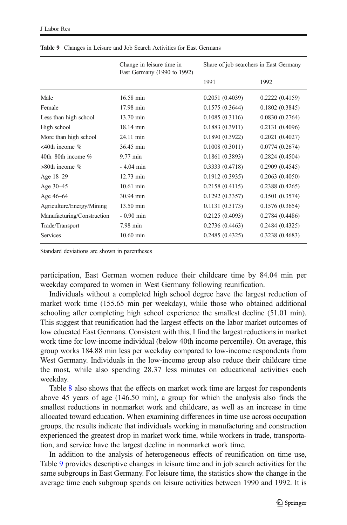|                            | Change in leisure time in<br>East Germany (1990 to 1992) | Share of job searchers in East Germany |                |
|----------------------------|----------------------------------------------------------|----------------------------------------|----------------|
|                            |                                                          | 1991                                   | 1992           |
| Male                       | 16.58 min                                                | 0.2051(0.4039)                         | 0.2222(0.4159) |
| Female                     | 17.98 min                                                | 0.1575(0.3644)                         | 0.1802(0.3845) |
| Less than high school      | 13.70 min                                                | 0.1085(0.3116)                         | 0.0830(0.2764) |
| High school                | 18.14 min                                                | 0.1883(0.3911)                         | 0.2131(0.4096) |
| More than high school      | 24.11 min                                                | 0.1890(0.3922)                         | 0.2021(0.4027) |
| $<40$ th income $%$        | 36.45 min                                                | 0.1008(0.3011)                         | 0.0774(0.2674) |
| 40th–80th income $%$       | 9.77 min                                                 | 0.1861(0.3893)                         | 0.2824(0.4504) |
| $>80$ th income %          | $-4.04$ min                                              | 0.3333 (0.4718)                        | 0.2909(0.4545) |
| Age 18-29                  | 12.73 min                                                | 0.1912(0.3935)                         | 0.2063(0.4050) |
| Age 30–45                  | 10.61 min                                                | 0.2158(0.4115)                         | 0.2388(0.4265) |
| Age 46–64                  | 30.94 min                                                | 0.1292(0.3357)                         | 0.1501(0.3574) |
| Agriculture/Energy/Mining  | 13.50 min                                                | 0.1131(0.3173)                         | 0.1576(0.3654) |
| Manufacturing/Construction | $-0.90$ min                                              | 0.2125(0.4093)                         | 0.2784(0.4486) |
| Trade/Transport            | 7.98 min                                                 | 0.2736(0.4463)                         | 0.2484(0.4325) |
| <b>Services</b>            | $10.60$ min                                              | 0.2485(0.4325)                         | 0.3238(0.4683) |

<span id="page-18-0"></span>Table 9 Changes in Leisure and Job Search Activities for East Germans

Standard deviations are shown in parentheses

participation, East German women reduce their childcare time by 84.04 min per weekday compared to women in West Germany following reunification.

Individuals without a completed high school degree have the largest reduction of market work time (155.65 min per weekday), while those who obtained additional schooling after completing high school experience the smallest decline (51.01 min). This suggest that reunification had the largest effects on the labor market outcomes of low educated East Germans. Consistent with this, I find the largest reductions in market work time for low-income individual (below 40th income percentile). On average, this group works 184.88 min less per weekday compared to low-income respondents from West Germany. Individuals in the low-income group also reduce their childcare time the most, while also spending 28.37 less minutes on educational activities each weekday.

Table [8](#page-17-0) also shows that the effects on market work time are largest for respondents above 45 years of age (146.50 min), a group for which the analysis also finds the smallest reductions in nonmarket work and childcare, as well as an increase in time allocated toward education. When examining differences in time use across occupation groups, the results indicate that individuals working in manufacturing and construction experienced the greatest drop in market work time, while workers in trade, transportation, and service have the largest decline in nonmarket work time.

In addition to the analysis of heterogeneous effects of reunification on time use, Table 9 provides descriptive changes in leisure time and in job search activities for the same subgroups in East Germany. For leisure time, the statistics show the change in the average time each subgroup spends on leisure activities between 1990 and 1992. It is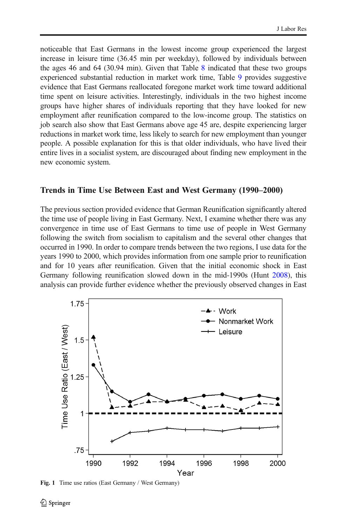<span id="page-19-0"></span>noticeable that East Germans in the lowest income group experienced the largest increase in leisure time (36.45 min per weekday), followed by individuals between the ages 46 and 64 (30.94 min). Given that Table [8](#page-17-0) indicated that these two groups experienced substantial reduction in market work time, Table [9](#page-18-0) provides suggestive evidence that East Germans reallocated foregone market work time toward additional time spent on leisure activities. Interestingly, individuals in the two highest income groups have higher shares of individuals reporting that they have looked for new employment after reunification compared to the low-income group. The statistics on job search also show that East Germans above age 45 are, despite experiencing larger reductions in market work time, less likely to search for new employment than younger people. A possible explanation for this is that older individuals, who have lived their entire lives in a socialist system, are discouraged about finding new employment in the new economic system.

## Trends in Time Use Between East and West Germany (1990–2000)

The previous section provided evidence that German Reunification significantly altered the time use of people living in East Germany. Next, I examine whether there was any convergence in time use of East Germans to time use of people in West Germany following the switch from socialism to capitalism and the several other changes that occurred in 1990. In order to compare trends between the two regions, I use data for the years 1990 to 2000, which provides information from one sample prior to reunification and for 10 years after reunification. Given that the initial economic shock in East Germany following reunification slowed down in the mid-1990s (Hunt [2008\)](#page-22-0), this analysis can provide further evidence whether the previously observed changes in East



Fig. 1 Time use ratios (East Germany / West Germany)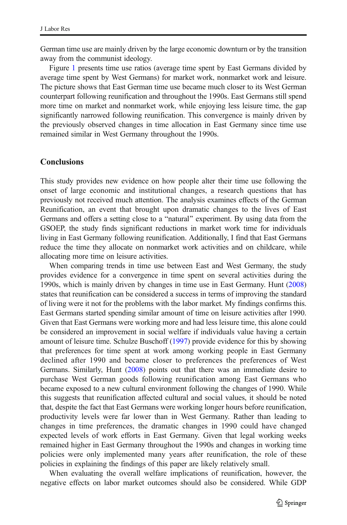German time use are mainly driven by the large economic downturn or by the transition away from the communist ideology.

Figure [1](#page-19-0) presents time use ratios (average time spent by East Germans divided by average time spent by West Germans) for market work, nonmarket work and leisure. The picture shows that East German time use became much closer to its West German counterpart following reunification and throughout the 1990s. East Germans still spend more time on market and nonmarket work, while enjoying less leisure time, the gap significantly narrowed following reunification. This convergence is mainly driven by the previously observed changes in time allocation in East Germany since time use remained similar in West Germany throughout the 1990s.

# **Conclusions**

This study provides new evidence on how people alter their time use following the onset of large economic and institutional changes, a research questions that has previously not received much attention. The analysis examines effects of the German Reunification, an event that brought upon dramatic changes to the lives of East Germans and offers a setting close to a "natural" experiment. By using data from the GSOEP, the study finds significant reductions in market work time for individuals living in East Germany following reunification. Additionally, I find that East Germans reduce the time they allocate on nonmarket work activities and on childcare, while allocating more time on leisure activities.

When comparing trends in time use between East and West Germany, the study provides evidence for a convergence in time spent on several activities during the 1990s, which is mainly driven by changes in time use in East Germany. Hunt ([2008](#page-22-0)) states that reunification can be considered a success in terms of improving the standard of living were it not for the problems with the labor market. My findings confirms this. East Germans started spending similar amount of time on leisure activities after 1990. Given that East Germans were working more and had less leisure time, this alone could be considered an improvement in social welfare if individuals value having a certain amount of leisure time. Schulze Buschoff [\(1997\)](#page-22-0) provide evidence for this by showing that preferences for time spent at work among working people in East Germany declined after 1990 and became closer to preferences the preferences of West Germans. Similarly, Hunt ([2008](#page-22-0)) points out that there was an immediate desire to purchase West German goods following reunification among East Germans who became exposed to a new cultural environment following the changes of 1990. While this suggests that reunification affected cultural and social values, it should be noted that, despite the fact that East Germans were working longer hours before reunification, productivity levels were far lower than in West Germany. Rather than leading to changes in time preferences, the dramatic changes in 1990 could have changed expected levels of work efforts in East Germany. Given that legal working weeks remained higher in East Germany throughout the 1990s and changes in working time policies were only implemented many years after reunification, the role of these policies in explaining the findings of this paper are likely relatively small.

When evaluating the overall welfare implications of reunification, however, the negative effects on labor market outcomes should also be considered. While GDP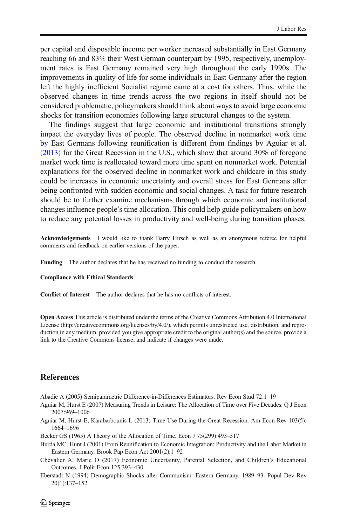<span id="page-21-0"></span>per capital and disposable income per worker increased substantially in East Germany reaching 66 and 83% their West German counterpart by 1995, respectively, unemployment rates is East Germany remained very high throughout the early 1990s. The improvements in quality of life for some individuals in East Germany after the region left the highly inefficient Socialist regime came at a cost for others. Thus, while the observed changes in time trends across the two regions in itself should not be considered problematic, policymakers should think about ways to avoid large economic shocks for transition economies following large structural changes to the system.

The findings suggest that large economic and institutional transitions strongly impact the everyday lives of people. The observed decline in nonmarket work time by East Germans following reunification is different from findings by Aguiar et al. (2013) for the Great Recession in the U.S., which show that around 30% of foregone market work time is reallocated toward more time spent on nonmarket work. Potential explanations for the observed decline in nonmarket work and childcare in this study could be increases in economic uncertainty and overall stress for East Germans after being confronted with sudden economic and social changes. A task for future research should be to further examine mechanisms through which economic and institutional changes influence people's time allocation. This could help guide policymakers on how to reduce any potential losses in productivity and well-being during transition phases.

Acknowledgements I would like to thank Barry Hirsch as well as an anonymous referee for helpful comments and feedback on earlier versions of the paper.

Funding The author declares that he has received no funding to conduct the research.

#### Compliance with Ethical Standards

Conflict of Interest The author declares that he has no conflicts of interest.

Open Access This article is distributed under the terms of the Creative Commons Attribution 4.0 International License (http://creativecommons.org/licenses/by/4.0/), which permits unrestricted use, distribution, and reproduction in any medium, provided you give appropriate credit to the original author(s) and the source, provide a link to the Creative Commons license, and indicate if changes were made.

#### **References**

Abadie A (2005) Semiparametric Difference-in-Differences Estimators. Rev Econ Stud 72:1–19

- Aguiar M, Hurst E (2007) Measuring Trends in Leisure: The Allocation of Time over Five Decades. Q J Econ 2007:969–1006
- Aguiar M, Hurst E, Karabarbounis L (2013) Time Use During the Great Recession. Am Econ Rev 103(5): 1664–1696
- Becker GS (1965) A Theory of the Allocation of Time. Econ J 75(299):493–517
- Burda MC, Hunt J (2001) From Reunification to Economic Integration: Productivity and the Labor Market in Eastern Germany. Brook Pap Econ Act 2001(2):1–92
- Chevalier A, Marie O (2017) Economic Uncertainty, Parental Selection, and Children's Educational Outcomes. J Polit Econ 125:393–430
- Eberstadt N (1994) Demographic Shocks after Communism: Eastern Germany, 1989–93. Popul Dev Rev 20(1):137–152